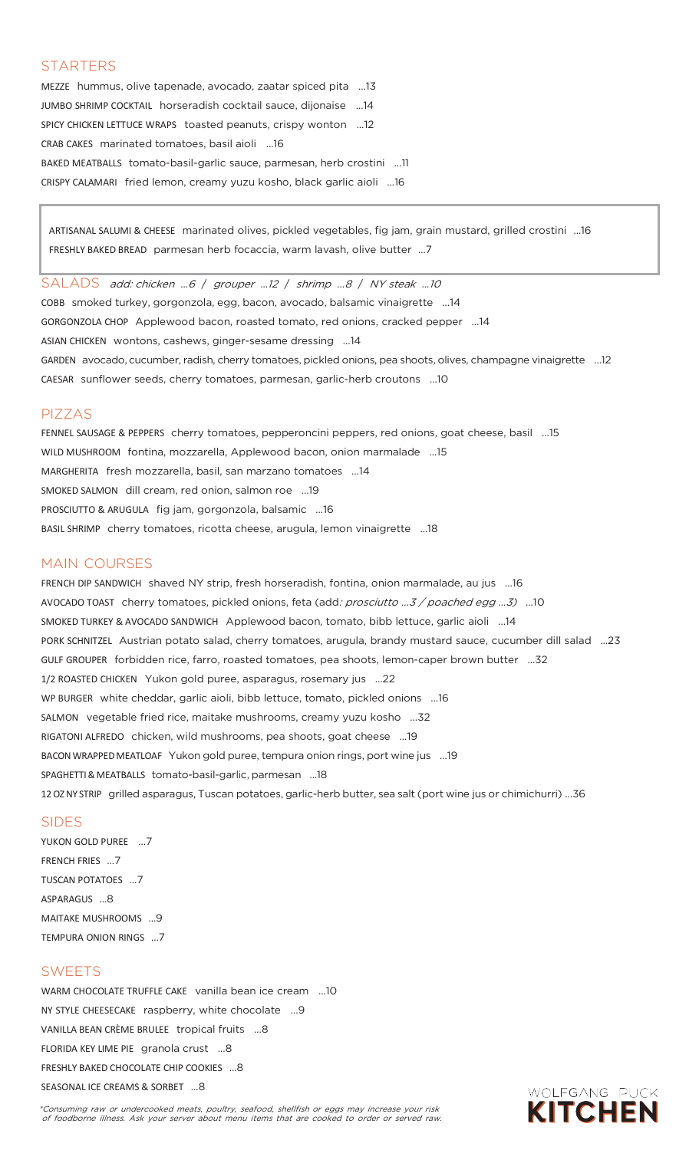### **STARTERS**

MEZZE hummus, olive tapenade, avocado, zaatar spiced pita …13 JUMBO SHRIMP COCKTAIL horseradish cocktail sauce, dijonaise …14 SPICY CHICKEN LETTUCE WRAPS toasted peanuts, crispy wonton …12 CRAB CAKES marinated tomatoes, basil aioli …16 BAKED MEATBALLS tomato-basil-garlic sauce, parmesan, herb crostini …11 CRISPY CALAMARI fried lemon, creamy yuzu kosho, black garlic aioli …16

ARTISANAL SALUMI & CHEESE marinated olives, pickled vegetables, fig jam, grain mustard, grilled crostini …16 FRESHLY BAKED BREAD parmesan herb focaccia, warm lavash, olive butter …7

SALADS add: chicken ...6 / grouper ...12 / shrimp ...8 / NY steak ...10 COBB smoked turkey, gorgonzola, egg, bacon, avocado, balsamic vinaigrette …14 GORGONZOLA CHOP Applewood bacon, roasted tomato, red onions, cracked pepper …14 ASIAN CHICKEN wontons, cashews, ginger-sesame dressing …14 GARDEN avocado, cucumber, radish, cherry tomatoes, pickled onions, pea shoots, olives, champagne vinaigrette …12 CAESAR sunflower seeds, cherry tomatoes, parmesan, garlic-herb croutons …10

#### PIZZAS

FENNEL SAUSAGE & PEPPERS cherry tomatoes, pepperoncini peppers, red onions, goat cheese, basil …15 WILD MUSHROOM fontina, mozzarella, Applewood bacon, onion marmalade …15 MARGHERITA fresh mozzarella, basil, san marzano tomatoes …14 SMOKED SALMON dill cream, red onion, salmon roe …19 PROSCIUTTO & ARUGULA fig jam, gorgonzola, balsamic …16 BASIL SHRIMP cherry tomatoes, ricotta cheese, arugula, lemon vinaigrette …18

### MAIN COURSES

FRENCH DIP SANDWICH shaved NY strip, fresh horseradish, fontina, onion marmalade, au jus …16 AVOCADO TOAST cherry tomatoes, pickled onions, feta (add: prosciutto ...3 / poached egg ...3) ...10 SMOKED TURKEY & AVOCADO SANDWICH Applewood bacon, tomato, bibb lettuce, garlic aioli …14 PORK SCHNITZEL Austrian potato salad, cherry tomatoes, arugula, brandy mustard sauce, cucumber dill salad ...23 GULF GROUPER forbidden rice, farro, roasted tomatoes, pea shoots, lemon-caper brown butter …32 1/2 ROASTED CHICKEN Yukon gold puree, asparagus, rosemary jus …22 WP BURGER white cheddar, garlic aioli, bibb lettuce, tomato, pickled onions …16 SALMON vegetable fried rice, maitake mushrooms, creamy yuzu kosho …32 RIGATONI ALFREDO chicken, wild mushrooms, pea shoots, goat cheese …19 BACONWRAPPEDMEATLOAF Yukon gold puree, tempura onion rings, port wine jus …19 SPAGHETTI&MEATBALLS tomato-basil-garlic, parmesan …18 12OZNY STRIP grilled asparagus, Tuscan potatoes, garlic-herb butter, sea salt (port wine jus or chimichurri) …36

#### SIDES

YUKON GOLD PUREE …7 FRENCH FRIES …7 TUSCAN POTATOES …7 ASPARAGUS …8 MAITAKE MUSHROOMS …9 TEMPURA ONION RINGS …7

#### SWEETS

WARM CHOCOLATE TRUFFLE CAKE vanilla bean ice cream …10 NY STYLE CHEESECAKE raspberry, white chocolate …9 VANILLA BEAN CRÈME BRULEE tropical fruits …8 FLORIDA KEY LIME PIE granola crust …8 FRESHLY BAKED CHOCOLATE CHIP COOKIES …8 SEASONAL ICE CREAMS & SORBET …8